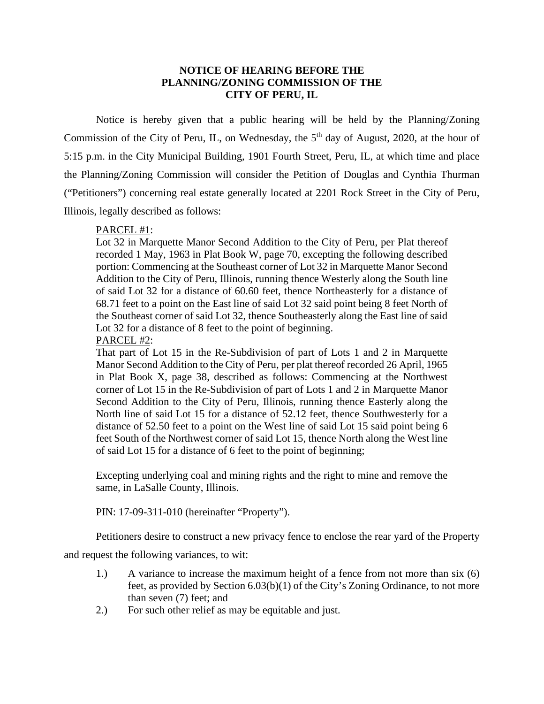## **NOTICE OF HEARING BEFORE THE PLANNING/ZONING COMMISSION OF THE CITY OF PERU, IL**

Notice is hereby given that a public hearing will be held by the Planning/Zoning Commission of the City of Peru, IL, on Wednesday, the  $5<sup>th</sup>$  day of August, 2020, at the hour of 5:15 p.m. in the City Municipal Building, 1901 Fourth Street, Peru, IL, at which time and place the Planning/Zoning Commission will consider the Petition of Douglas and Cynthia Thurman ("Petitioners") concerning real estate generally located at 2201 Rock Street in the City of Peru, Illinois, legally described as follows:

## PARCEL #1:

Lot 32 in Marquette Manor Second Addition to the City of Peru, per Plat thereof recorded 1 May, 1963 in Plat Book W, page 70, excepting the following described portion: Commencing at the Southeast corner of Lot 32 in Marquette Manor Second Addition to the City of Peru, Illinois, running thence Westerly along the South line of said Lot 32 for a distance of 60.60 feet, thence Northeasterly for a distance of 68.71 feet to a point on the East line of said Lot 32 said point being 8 feet North of the Southeast corner of said Lot 32, thence Southeasterly along the East line of said Lot 32 for a distance of 8 feet to the point of beginning.

## PARCEL #2:

That part of Lot 15 in the Re-Subdivision of part of Lots 1 and 2 in Marquette Manor Second Addition to the City of Peru, per plat thereof recorded 26 April, 1965 in Plat Book X, page 38, described as follows: Commencing at the Northwest corner of Lot 15 in the Re-Subdivision of part of Lots 1 and 2 in Marquette Manor Second Addition to the City of Peru, Illinois, running thence Easterly along the North line of said Lot 15 for a distance of 52.12 feet, thence Southwesterly for a distance of 52.50 feet to a point on the West line of said Lot 15 said point being 6 feet South of the Northwest corner of said Lot 15, thence North along the West line of said Lot 15 for a distance of 6 feet to the point of beginning;

Excepting underlying coal and mining rights and the right to mine and remove the same, in LaSalle County, Illinois.

PIN: 17-09-311-010 (hereinafter "Property").

Petitioners desire to construct a new privacy fence to enclose the rear yard of the Property

and request the following variances, to wit:

- 1.) A variance to increase the maximum height of a fence from not more than six (6) feet, as provided by Section 6.03(b)(1) of the City's Zoning Ordinance, to not more than seven (7) feet; and
- 2.) For such other relief as may be equitable and just.